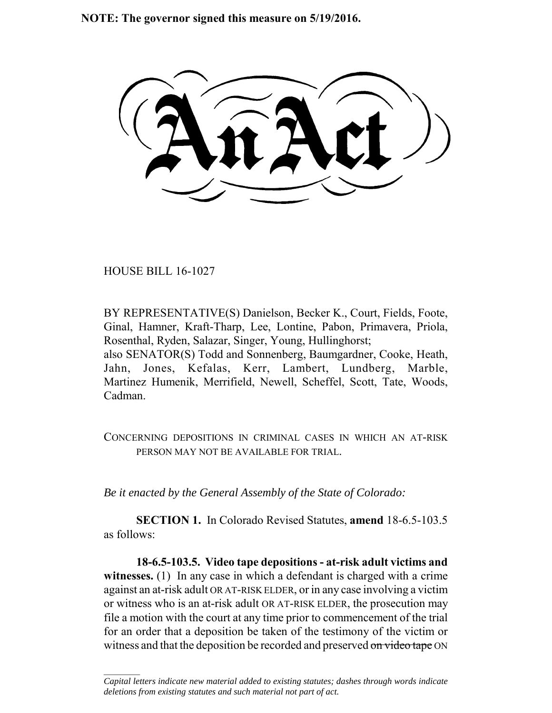**NOTE: The governor signed this measure on 5/19/2016.**

HOUSE BILL 16-1027

 $\frac{1}{2}$ 

BY REPRESENTATIVE(S) Danielson, Becker K., Court, Fields, Foote, Ginal, Hamner, Kraft-Tharp, Lee, Lontine, Pabon, Primavera, Priola, Rosenthal, Ryden, Salazar, Singer, Young, Hullinghorst; also SENATOR(S) Todd and Sonnenberg, Baumgardner, Cooke, Heath, Jahn, Jones, Kefalas, Kerr, Lambert, Lundberg, Marble, Martinez Humenik, Merrifield, Newell, Scheffel, Scott, Tate, Woods, Cadman.

CONCERNING DEPOSITIONS IN CRIMINAL CASES IN WHICH AN AT-RISK PERSON MAY NOT BE AVAILABLE FOR TRIAL.

*Be it enacted by the General Assembly of the State of Colorado:*

**SECTION 1.** In Colorado Revised Statutes, **amend** 18-6.5-103.5 as follows:

**18-6.5-103.5. Video tape depositions - at-risk adult victims and** witnesses. (1) In any case in which a defendant is charged with a crime against an at-risk adult OR AT-RISK ELDER, or in any case involving a victim or witness who is an at-risk adult OR AT-RISK ELDER, the prosecution may file a motion with the court at any time prior to commencement of the trial for an order that a deposition be taken of the testimony of the victim or witness and that the deposition be recorded and preserved on video tape ON

*Capital letters indicate new material added to existing statutes; dashes through words indicate deletions from existing statutes and such material not part of act.*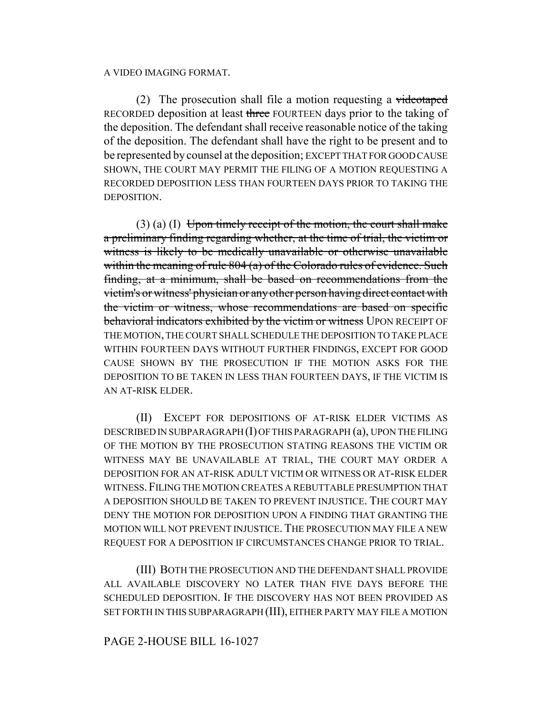## A VIDEO IMAGING FORMAT.

(2) The prosecution shall file a motion requesting a videotaped RECORDED deposition at least three FOURTEEN days prior to the taking of the deposition. The defendant shall receive reasonable notice of the taking of the deposition. The defendant shall have the right to be present and to be represented by counsel at the deposition; EXCEPT THAT FOR GOOD CAUSE SHOWN, THE COURT MAY PERMIT THE FILING OF A MOTION REQUESTING A RECORDED DEPOSITION LESS THAN FOURTEEN DAYS PRIOR TO TAKING THE DEPOSITION.

 $(3)$  (a) (I) Upon timely receipt of the motion, the court shall make a preliminary finding regarding whether, at the time of trial, the victim or witness is likely to be medically unavailable or otherwise unavailable within the meaning of rule 804 (a) of the Colorado rules of evidence. Such finding, at a minimum, shall be based on recommendations from the victim's or witness' physician or any other person having direct contact with the victim or witness, whose recommendations are based on specific behavioral indicators exhibited by the victim or witness UPON RECEIPT OF THE MOTION, THE COURT SHALL SCHEDULE THE DEPOSITION TO TAKE PLACE WITHIN FOURTEEN DAYS WITHOUT FURTHER FINDINGS, EXCEPT FOR GOOD CAUSE SHOWN BY THE PROSECUTION IF THE MOTION ASKS FOR THE DEPOSITION TO BE TAKEN IN LESS THAN FOURTEEN DAYS, IF THE VICTIM IS AN AT-RISK ELDER.

(II) EXCEPT FOR DEPOSITIONS OF AT-RISK ELDER VICTIMS AS DESCRIBED IN SUBPARAGRAPH (I) OF THIS PARAGRAPH (a), UPON THE FILING OF THE MOTION BY THE PROSECUTION STATING REASONS THE VICTIM OR WITNESS MAY BE UNAVAILABLE AT TRIAL, THE COURT MAY ORDER A DEPOSITION FOR AN AT-RISK ADULT VICTIM OR WITNESS OR AT-RISK ELDER WITNESS.FILING THE MOTION CREATES A REBUTTABLE PRESUMPTION THAT A DEPOSITION SHOULD BE TAKEN TO PREVENT INJUSTICE. THE COURT MAY DENY THE MOTION FOR DEPOSITION UPON A FINDING THAT GRANTING THE MOTION WILL NOT PREVENT INJUSTICE. THE PROSECUTION MAY FILE A NEW REQUEST FOR A DEPOSITION IF CIRCUMSTANCES CHANGE PRIOR TO TRIAL.

(III) BOTH THE PROSECUTION AND THE DEFENDANT SHALL PROVIDE ALL AVAILABLE DISCOVERY NO LATER THAN FIVE DAYS BEFORE THE SCHEDULED DEPOSITION. IF THE DISCOVERY HAS NOT BEEN PROVIDED AS SET FORTH IN THIS SUBPARAGRAPH (III), EITHER PARTY MAY FILE A MOTION

## PAGE 2-HOUSE BILL 16-1027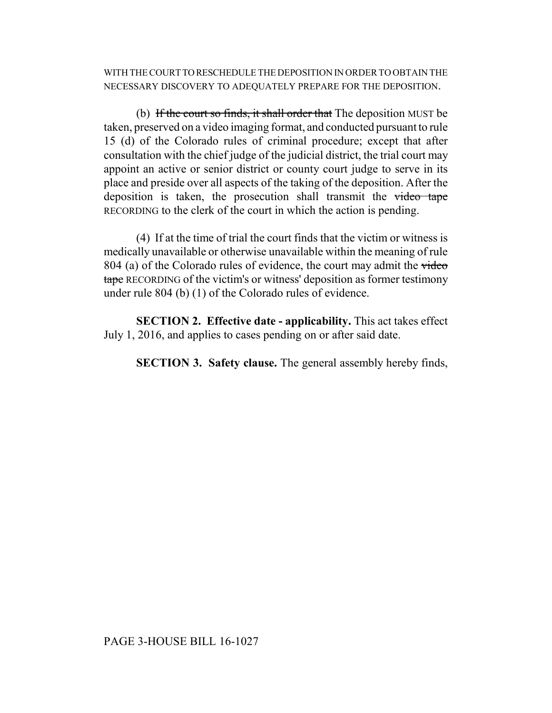WITH THE COURT TO RESCHEDULE THE DEPOSITION IN ORDER TO OBTAIN THE NECESSARY DISCOVERY TO ADEQUATELY PREPARE FOR THE DEPOSITION.

(b) If the court so finds, it shall order that The deposition MUST be taken, preserved on a video imaging format, and conducted pursuant to rule 15 (d) of the Colorado rules of criminal procedure; except that after consultation with the chief judge of the judicial district, the trial court may appoint an active or senior district or county court judge to serve in its place and preside over all aspects of the taking of the deposition. After the deposition is taken, the prosecution shall transmit the video tape RECORDING to the clerk of the court in which the action is pending.

(4) If at the time of trial the court finds that the victim or witness is medically unavailable or otherwise unavailable within the meaning of rule 804 (a) of the Colorado rules of evidence, the court may admit the video tape RECORDING of the victim's or witness' deposition as former testimony under rule 804 (b) (1) of the Colorado rules of evidence.

**SECTION 2. Effective date - applicability.** This act takes effect July 1, 2016, and applies to cases pending on or after said date.

**SECTION 3. Safety clause.** The general assembly hereby finds,